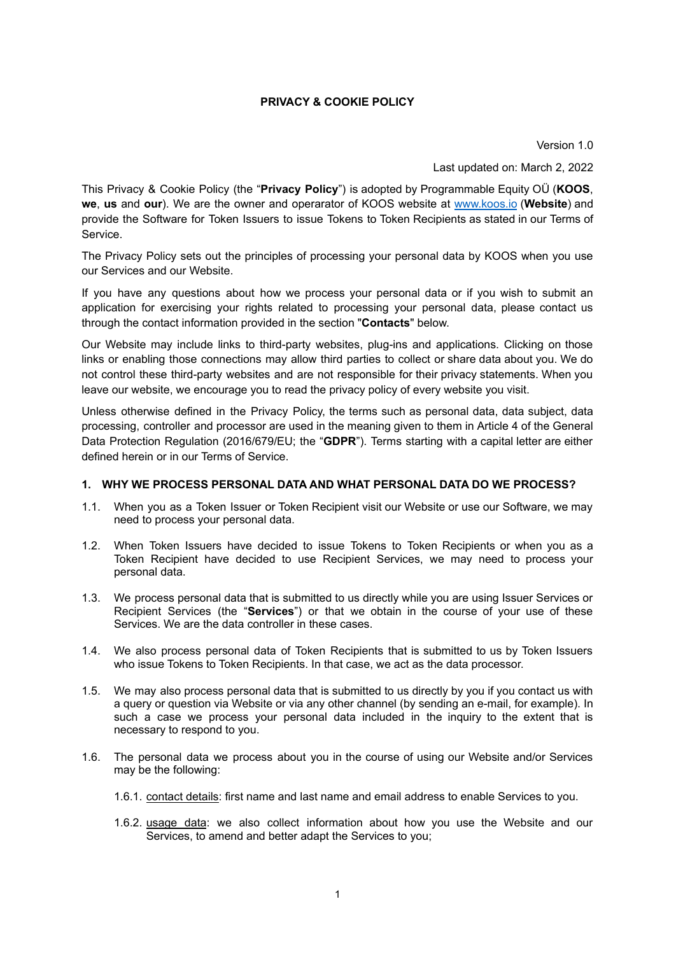## **PRIVACY & COOKIE POLICY**

Version 1.0

Last updated on: March 2, 2022

This Privacy & Cookie Policy (the "**Privacy Policy**") is adopted by Programmable Equity OÜ (**KOOS**, **we**, **us** and **our**). We are the owner and operarator of KOOS website at [www.koos.io](http://www.koos.io) (**Website**) and provide the Software for Token Issuers to issue Tokens to Token Recipients as stated in our Terms of Service.

The Privacy Policy sets out the principles of processing your personal data by KOOS when you use our Services and our Website.

If you have any questions about how we process your personal data or if you wish to submit an application for exercising your rights related to processing your personal data, please contact us through the contact information provided in the section "**Contacts**" below.

Our Website may include links to third-party websites, plug-ins and applications. Clicking on those links or enabling those connections may allow third parties to collect or share data about you. We do not control these third-party websites and are not responsible for their privacy statements. When you leave our website, we encourage you to read the privacy policy of every website you visit.

Unless otherwise defined in the Privacy Policy, the terms such as personal data, data subject, data processing, controller and processor are used in the meaning given to them in Article 4 of the General Data Protection Regulation (2016/679/EU; the "**GDPR**"). Terms starting with a capital letter are either defined herein or in our Terms of Service.

#### **1. WHY WE PROCESS PERSONAL DATA AND WHAT PERSONAL DATA DO WE PROCESS?**

- 1.1. When you as a Token Issuer or Token Recipient visit our Website or use our Software, we may need to process your personal data.
- 1.2. When Token Issuers have decided to issue Tokens to Token Recipients or when you as a Token Recipient have decided to use Recipient Services, we may need to process your personal data.
- 1.3. We process personal data that is submitted to us directly while you are using Issuer Services or Recipient Services (the "**Services**") or that we obtain in the course of your use of these Services. We are the data controller in these cases.
- 1.4. We also process personal data of Token Recipients that is submitted to us by Token Issuers who issue Tokens to Token Recipients. In that case, we act as the data processor.
- 1.5. We may also process personal data that is submitted to us directly by you if you contact us with a query or question via Website or via any other channel (by sending an e-mail, for example). In such a case we process your personal data included in the inquiry to the extent that is necessary to respond to you.
- 1.6. The personal data we process about you in the course of using our Website and/or Services may be the following:
	- 1.6.1. contact details: first name and last name and email address to enable Services to you.
	- 1.6.2. usage data: we also collect information about how you use the Website and our Services, to amend and better adapt the Services to you;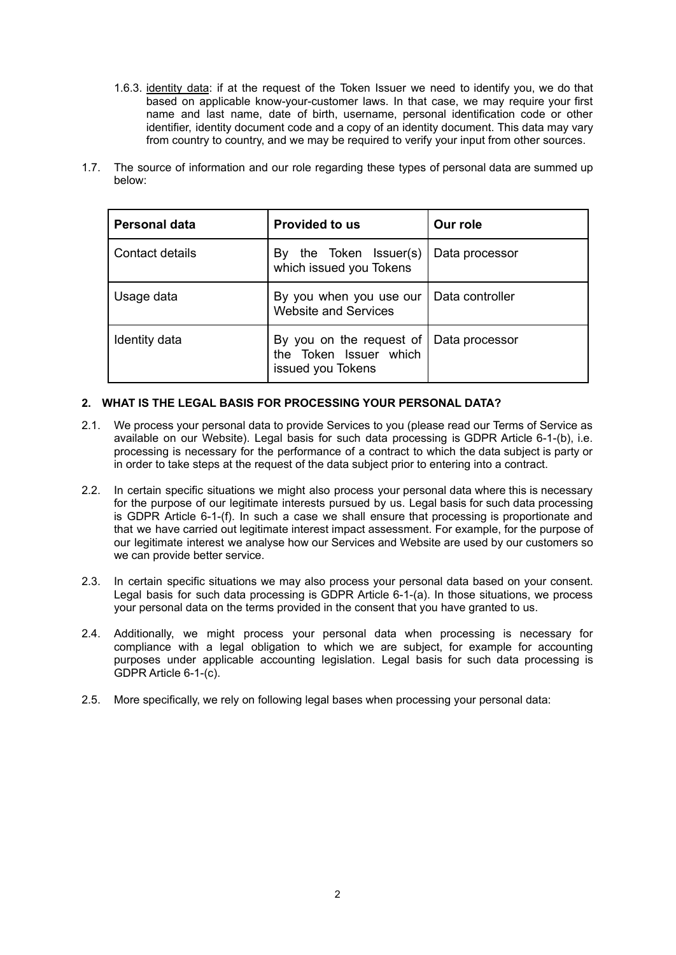- 1.6.3. identity data: if at the request of the Token Issuer we need to identify you, we do that based on applicable know-your-customer laws. In that case, we may require your first name and last name, date of birth, username, personal identification code or other identifier, identity document code and a copy of an identity document. This data may vary from country to country, and we may be required to verify your input from other sources.
- 1.7. The source of information and our role regarding these types of personal data are summed up below:

| <b>Personal data</b> | <b>Provided to us</b>                                                   | Our role        |
|----------------------|-------------------------------------------------------------------------|-----------------|
| Contact details      | the Token Issuer(s)<br>By<br>which issued you Tokens                    | Data processor  |
| Usage data           | By you when you use our<br><b>Website and Services</b>                  | Data controller |
| Identity data        | By you on the request of<br>the Token Issuer which<br>issued you Tokens | Data processor  |

# **2. WHAT IS THE LEGAL BASIS FOR PROCESSING YOUR PERSONAL DATA?**

- 2.1. We process your personal data to provide Services to you (please read our Terms of Service as available on our Website). Legal basis for such data processing is GDPR Article 6-1-(b), i.e. processing is necessary for the performance of a contract to which the data subject is party or in order to take steps at the request of the data subject prior to entering into a contract.
- 2.2. In certain specific situations we might also process your personal data where this is necessary for the purpose of our legitimate interests pursued by us. Legal basis for such data processing is GDPR Article 6-1-(f). In such a case we shall ensure that processing is proportionate and that we have carried out legitimate interest impact assessment. For example, for the purpose of our legitimate interest we analyse how our Services and Website are used by our customers so we can provide better service.
- 2.3. In certain specific situations we may also process your personal data based on your consent. Legal basis for such data processing is GDPR Article 6-1-(a). In those situations, we process your personal data on the terms provided in the consent that you have granted to us.
- 2.4. Additionally, we might process your personal data when processing is necessary for compliance with a legal obligation to which we are subject, for example for accounting purposes under applicable accounting legislation. Legal basis for such data processing is GDPR Article 6-1-(c).
- 2.5. More specifically, we rely on following legal bases when processing your personal data: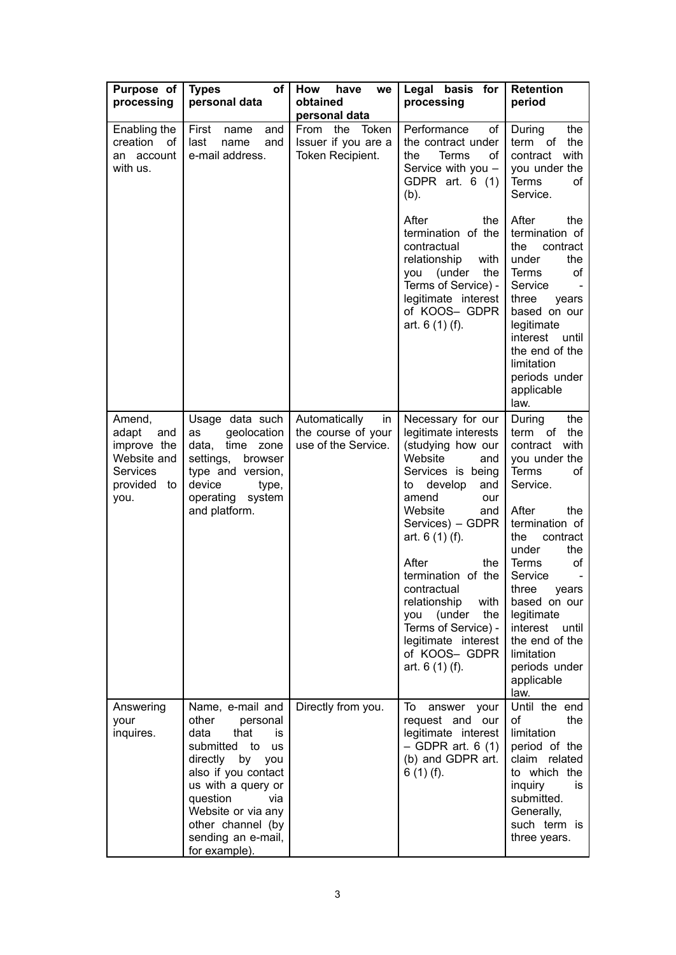| Purpose of<br>processing                                                                   | оf<br><b>Types</b><br>personal data                                                                                                                                                                                                                        | How<br>have<br>we<br>obtained<br>personal data                   | Legal basis for<br>processing                                                                                                                                                                                                                                                                                                                                                               | <b>Retention</b><br>period                                                                                                                                                                                                                                                                                                                     |
|--------------------------------------------------------------------------------------------|------------------------------------------------------------------------------------------------------------------------------------------------------------------------------------------------------------------------------------------------------------|------------------------------------------------------------------|---------------------------------------------------------------------------------------------------------------------------------------------------------------------------------------------------------------------------------------------------------------------------------------------------------------------------------------------------------------------------------------------|------------------------------------------------------------------------------------------------------------------------------------------------------------------------------------------------------------------------------------------------------------------------------------------------------------------------------------------------|
| Enabling the<br>creation<br>of<br>an account<br>with us.                                   | First<br>and<br>name<br>last<br>and<br>name<br>e-mail address.                                                                                                                                                                                             | From the<br>Token<br>Issuer if you are a<br>Token Recipient.     | Performance<br>of<br>the contract under<br>the<br><b>Terms</b><br>of<br>Service with you -<br>GDPR art. 6 (1)<br>$(b)$ .                                                                                                                                                                                                                                                                    | the<br>During<br>term of<br>the<br>contract<br>with<br>you under the<br>Terms<br>οf<br>Service.                                                                                                                                                                                                                                                |
|                                                                                            |                                                                                                                                                                                                                                                            |                                                                  | After<br>the<br>termination of the<br>contractual<br>relationship<br>with<br>(under<br>the<br>you<br>Terms of Service) -<br>legitimate interest<br>of KOOS- GDPR<br>art. $6(1)(f)$ .                                                                                                                                                                                                        | After<br>the<br>termination of<br>the<br>contract<br>under<br>the<br>Terms<br>οf<br>Service<br>three<br>years<br>based on our<br>legitimate<br>interest until<br>the end of the<br>limitation<br>periods under<br>applicable<br>law.                                                                                                           |
| Amend,<br>adapt<br>and<br>improve the<br>Website and<br>Services<br>provided<br>to<br>you. | Usage data such<br>geolocation<br>as<br>time<br>zone<br>data,<br>settings,<br>browser<br>type and version,<br>device<br>type,<br>operating system<br>and platform.                                                                                         | Automatically<br>in<br>the course of your<br>use of the Service. | Necessary for our<br>legitimate interests<br>(studying how our<br>Website<br>and<br>Services is being<br>develop<br>and<br>to<br>amend<br>our<br>Website<br>and<br>Services) - GDPR<br>art. 6 (1) (f).<br>After<br>the<br>termination of the<br>contractual<br>relationship<br>with<br>you (under<br>the<br>Terms of Service) -<br>legitimate interest<br>of KOOS- GDPR<br>art. $6(1)(f)$ . | the<br>During<br>the<br>term of<br>with<br>contract<br>you under the<br>Terms<br>οf<br>Service.<br>After<br>the<br>termination of<br>the<br>contract<br>the<br>under<br><b>Terms</b><br>of<br>Service<br>three years<br>based on our<br>legitimate<br>interest<br>until<br>the end of the<br>limitation<br>periods under<br>applicable<br>law. |
| Answering<br>your<br>inquires.                                                             | Name, e-mail and<br>other<br>personal<br>data<br>that<br>is.<br>submitted to<br>us<br>directly by<br>you<br>also if you contact<br>us with a query or<br>question<br>via<br>Website or via any<br>other channel (by<br>sending an e-mail,<br>for example). | Directly from you.                                               | To<br>answer your<br>request and our<br>legitimate interest<br>$-$ GDPR art. 6 (1)<br>(b) and GDPR art.<br>$6(1)(f)$ .                                                                                                                                                                                                                                                                      | Until the end<br>the<br>οf<br>limitation<br>period of the<br>claim related<br>to which the<br>inquiry<br>is.<br>submitted.<br>Generally,<br>such term is<br>three years.                                                                                                                                                                       |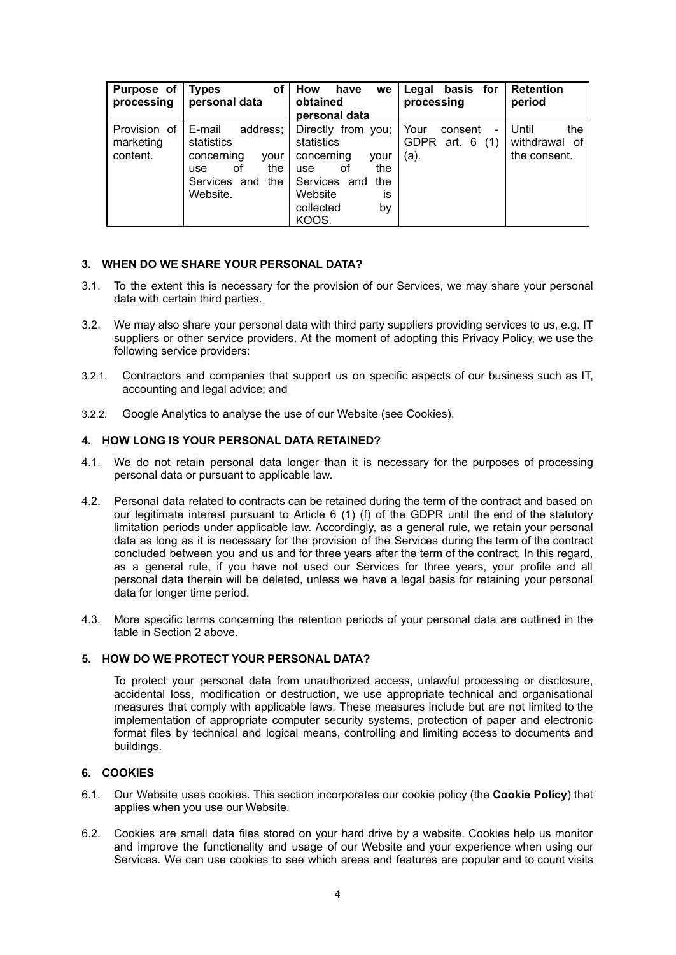| Purpose of<br>processing              | οf<br>Types<br>personal data                                                                                         | How<br>have<br>we<br>obtained<br>personal data                                                                                                 | basis for<br>Legal<br>processing                                              | <b>Retention</b><br>period                    |
|---------------------------------------|----------------------------------------------------------------------------------------------------------------------|------------------------------------------------------------------------------------------------------------------------------------------------|-------------------------------------------------------------------------------|-----------------------------------------------|
| Provision of<br>marketing<br>content. | E-mail<br>address;<br>statistics<br>concerning<br>vour<br>the<br>оf<br><b>use</b><br>the<br>Services and<br>Website. | Directly from you;<br>statistics<br>concerning<br>vour<br>the<br>οt<br>use<br>Services and<br>the<br>Website<br>is<br>collected<br>by<br>KOOS. | Your<br>consent<br>$\qquad \qquad \blacksquare$<br>GDPR art. 6<br>(1)<br>(a). | Until<br>the<br>withdrawal of<br>the consent. |

#### **3. WHEN DO WE SHARE YOUR PERSONAL DATA?**

- 3.1. To the extent this is necessary for the provision of our Services, we may share your personal data with certain third parties.
- 3.2. We may also share your personal data with third party suppliers providing services to us, e.g. IT suppliers or other service providers. At the moment of adopting this Privacy Policy, we use the following service providers:
- 3.2.1. Contractors and companies that support us on specific aspects of our business such as IT, accounting and legal advice; and
- 3.2.2. Google Analytics to analyse the use of our Website (see Cookies).

## **4. HOW LONG IS YOUR PERSONAL DATA RETAINED?**

- 4.1. We do not retain personal data longer than it is necessary for the purposes of processing personal data or pursuant to applicable law.
- 4.2. Personal data related to contracts can be retained during the term of the contract and based on our legitimate interest pursuant to Article 6 (1) (f) of the GDPR until the end of the statutory limitation periods under applicable law. Accordingly, as a general rule, we retain your personal data as long as it is necessary for the provision of the Services during the term of the contract concluded between you and us and for three years after the term of the contract. In this regard, as a general rule, if you have not used our Services for three years, your profile and all personal data therein will be deleted, unless we have a legal basis for retaining your personal data for longer time period.
- 4.3. More specific terms concerning the retention periods of your personal data are outlined in the table in Section 2 above.

#### **5. HOW DO WE PROTECT YOUR PERSONAL DATA?**

To protect your personal data from unauthorized access, unlawful processing or disclosure, accidental loss, modification or destruction, we use appropriate technical and organisational measures that comply with applicable laws. These measures include but are not limited to the implementation of appropriate computer security systems, protection of paper and electronic format files by technical and logical means, controlling and limiting access to documents and buildings.

## **6. COOKIES**

- 6.1. Our Website uses cookies. This section incorporates our cookie policy (the **Cookie Policy**) that applies when you use our Website.
- 6.2. Cookies are small data files stored on your hard drive by a website. Cookies help us monitor and improve the functionality and usage of our Website and your experience when using our Services. We can use cookies to see which areas and features are popular and to count visits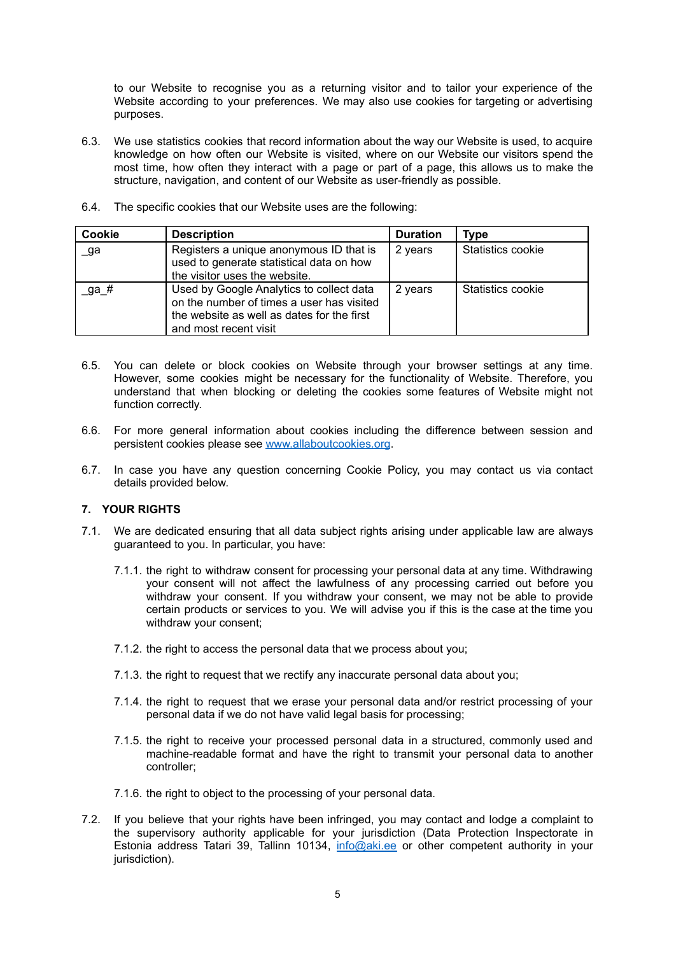to our Website to recognise you as a returning visitor and to tailor your experience of the Website according to your preferences. We may also use cookies for targeting or advertising purposes.

- 6.3. We use statistics cookies that record information about the way our Website is used, to acquire knowledge on how often our Website is visited, where on our Website our visitors spend the most time, how often they interact with a page or part of a page, this allows us to make the structure, navigation, and content of our Website as user-friendly as possible.
- 6.4. The specific cookies that our Website uses are the following:

| Cookie | <b>Description</b>                                                                                                                                           | <b>Duration</b> | Type              |
|--------|--------------------------------------------------------------------------------------------------------------------------------------------------------------|-----------------|-------------------|
| _ga    | Registers a unique anonymous ID that is<br>used to generate statistical data on how<br>the visitor uses the website.                                         | 2 years         | Statistics cookie |
| _ga_#  | Used by Google Analytics to collect data<br>on the number of times a user has visited<br>the website as well as dates for the first<br>and most recent visit | 2 years         | Statistics cookie |

- 6.5. You can delete or block cookies on Website through your browser settings at any time. However, some cookies might be necessary for the functionality of Website. Therefore, you understand that when blocking or deleting the cookies some features of Website might not function correctly.
- 6.6. For more general information about cookies including the difference between session and persistent cookies please see [www.allaboutcookies.org](http://www.allaboutcookies.org).
- 6.7. In case you have any question concerning Cookie Policy, you may contact us via contact details provided below.

## **7. YOUR RIGHTS**

- 7.1. We are dedicated ensuring that all data subject rights arising under applicable law are always guaranteed to you. In particular, you have:
	- 7.1.1. the right to withdraw consent for processing your personal data at any time. Withdrawing your consent will not affect the lawfulness of any processing carried out before you withdraw your consent. If you withdraw your consent, we may not be able to provide certain products or services to you. We will advise you if this is the case at the time you withdraw your consent;
	- 7.1.2. the right to access the personal data that we process about you;
	- 7.1.3. the right to request that we rectify any inaccurate personal data about you;
	- 7.1.4. the right to request that we erase your personal data and/or restrict processing of your personal data if we do not have valid legal basis for processing;
	- 7.1.5. the right to receive your processed personal data in a structured, commonly used and machine-readable format and have the right to transmit your personal data to another controller;
	- 7.1.6. the right to object to the processing of your personal data.
- 7.2. If you believe that your rights have been infringed, you may contact and lodge a complaint to the supervisory authority applicable for your jurisdiction (Data Protection Inspectorate in Estonia address Tatari 39, Tallinn 10134, [info@aki.ee](mailto:info@aki.ee) or other competent authority in your jurisdiction).